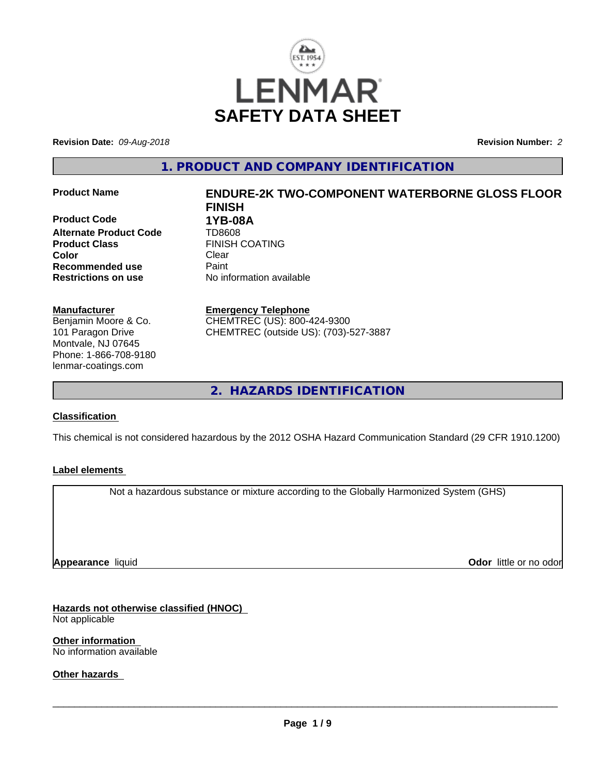

**Revision Date:** *09-Aug-2018* **Revision Number:** *2*

**1. PRODUCT AND COMPANY IDENTIFICATION**

**Product Code 618 1YB-08A**<br>**Alternate Product Code 618 1708608 Alternate Product Code Product Class FINISH COATING Color** Clear Clear **Recommended use** Paint **Restrictions on use** No information available

# **Manufacturer**

Benjamin Moore & Co. 101 Paragon Drive Montvale, NJ 07645 Phone: 1-866-708-9180 lenmar-coatings.com

# **Product Name ENDURE-2K TWO-COMPONENT WATERBORNE GLOSS FLOOR FINISH**

**Emergency Telephone** CHEMTREC (US): 800-424-9300 CHEMTREC (outside US): (703)-527-3887

**2. HAZARDS IDENTIFICATION**

# **Classification**

This chemical is not considered hazardous by the 2012 OSHA Hazard Communication Standard (29 CFR 1910.1200)

# **Label elements**

Not a hazardous substance or mixture according to the Globally Harmonized System (GHS)

**Appearance** liquid

**Odor** little or no odor

**Hazards not otherwise classified (HNOC)** Not applicable

**Other information** No information available

**Other hazards**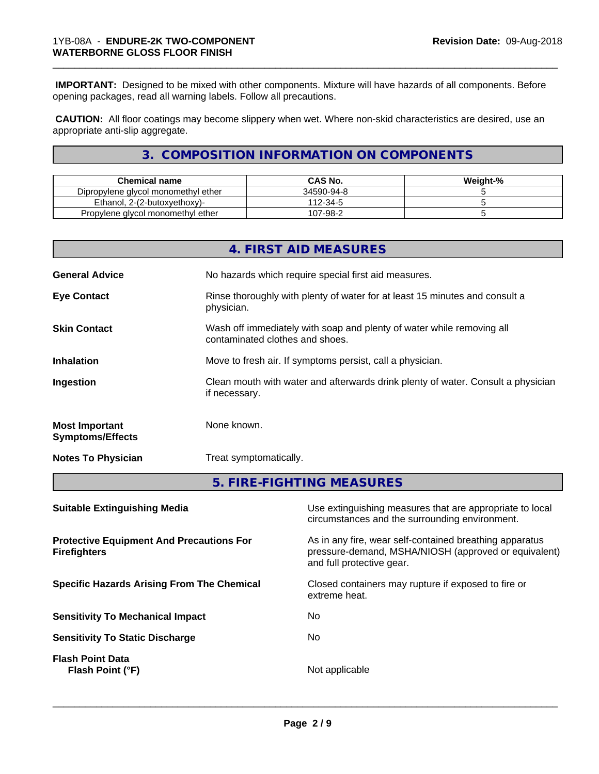**IMPORTANT:** Designed to be mixed with other components. Mixture will have hazards of all components. Before opening packages, read all warning labels. Follow all precautions.

\_\_\_\_\_\_\_\_\_\_\_\_\_\_\_\_\_\_\_\_\_\_\_\_\_\_\_\_\_\_\_\_\_\_\_\_\_\_\_\_\_\_\_\_\_\_\_\_\_\_\_\_\_\_\_\_\_\_\_\_\_\_\_\_\_\_\_\_\_\_\_\_\_\_\_\_\_\_\_\_\_\_\_\_\_\_\_\_\_\_\_\_\_

 **CAUTION:** All floor coatings may become slippery when wet. Where non-skid characteristics are desired, use an appropriate anti-slip aggregate.

# **3. COMPOSITION INFORMATION ON COMPONENTS**

| Chemical name                       | CAS No.    | Weight-% |
|-------------------------------------|------------|----------|
| Dipropylene glycol monomethyl ether | 34590-94-8 |          |
| Ethanol. 2-(2-butoxyethoxy)-        | 112-34-5   |          |
| Propylene glycol monomethyl ether   | 107-98-2   |          |

|                                                                        |               | 4. FIRST AID MEASURES                                                                                                                        |  |
|------------------------------------------------------------------------|---------------|----------------------------------------------------------------------------------------------------------------------------------------------|--|
| <b>General Advice</b>                                                  |               | No hazards which require special first aid measures.                                                                                         |  |
| <b>Eye Contact</b>                                                     | physician.    | Rinse thoroughly with plenty of water for at least 15 minutes and consult a                                                                  |  |
| <b>Skin Contact</b>                                                    |               | Wash off immediately with soap and plenty of water while removing all<br>contaminated clothes and shoes.                                     |  |
| <b>Inhalation</b>                                                      |               | Move to fresh air. If symptoms persist, call a physician.                                                                                    |  |
| Ingestion                                                              | if necessary. | Clean mouth with water and afterwards drink plenty of water. Consult a physician                                                             |  |
| <b>Most Important</b><br><b>Symptoms/Effects</b>                       | None known.   |                                                                                                                                              |  |
| <b>Notes To Physician</b>                                              |               | Treat symptomatically.                                                                                                                       |  |
|                                                                        |               | 5. FIRE-FIGHTING MEASURES                                                                                                                    |  |
| <b>Suitable Extinguishing Media</b>                                    |               | Use extinguishing measures that are appropriate to local<br>circumstances and the surrounding environment.                                   |  |
| <b>Protective Equipment And Precautions For</b><br><b>Firefighters</b> |               | As in any fire, wear self-contained breathing apparatus<br>pressure-demand, MSHA/NIOSH (approved or equivalent)<br>and full protective gear. |  |

**Specific Hazards Arising From The Chemical Closed containers may rupture if exposed to fire or** 

**Sensitivity To Mechanical Impact** No

**Sensitivity To Static Discharge** No

**Flash Point Data Flash Point (°F)** Not applicable

 $\overline{\phantom{a}}$  ,  $\overline{\phantom{a}}$  ,  $\overline{\phantom{a}}$  ,  $\overline{\phantom{a}}$  ,  $\overline{\phantom{a}}$  ,  $\overline{\phantom{a}}$  ,  $\overline{\phantom{a}}$  ,  $\overline{\phantom{a}}$  ,  $\overline{\phantom{a}}$  ,  $\overline{\phantom{a}}$  ,  $\overline{\phantom{a}}$  ,  $\overline{\phantom{a}}$  ,  $\overline{\phantom{a}}$  ,  $\overline{\phantom{a}}$  ,  $\overline{\phantom{a}}$  ,  $\overline{\phantom{a}}$ 

extreme heat.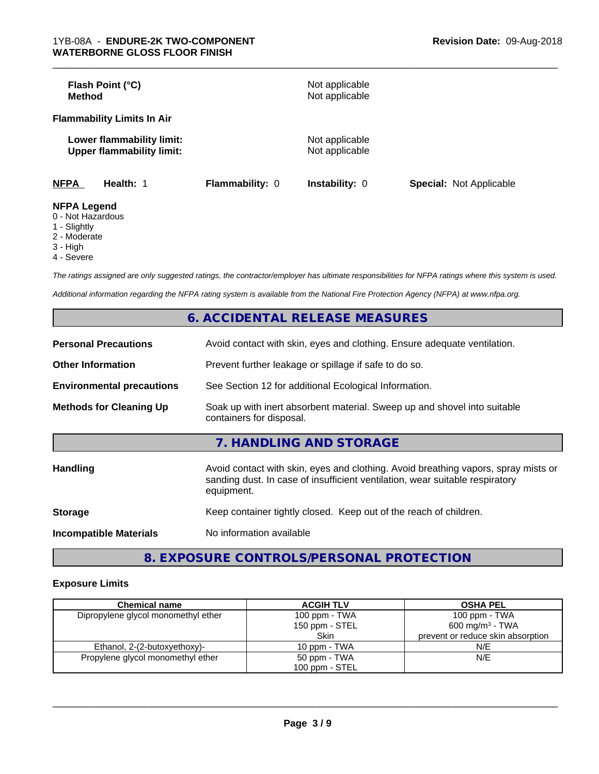| Flash Point (°C)<br><b>Method</b>                             |                 | Not applicable<br>Not applicable |                                |
|---------------------------------------------------------------|-----------------|----------------------------------|--------------------------------|
| <b>Flammability Limits In Air</b>                             |                 |                                  |                                |
| Lower flammability limit:<br><b>Upper flammability limit:</b> |                 | Not applicable<br>Not applicable |                                |
| <b>NFPA</b><br>Health: 1                                      | Flammability: 0 | <b>Instability: 0</b>            | <b>Special: Not Applicable</b> |
| <b>NFPA Legend</b><br>0 Not Horordoug                         |                 |                                  |                                |

\_\_\_\_\_\_\_\_\_\_\_\_\_\_\_\_\_\_\_\_\_\_\_\_\_\_\_\_\_\_\_\_\_\_\_\_\_\_\_\_\_\_\_\_\_\_\_\_\_\_\_\_\_\_\_\_\_\_\_\_\_\_\_\_\_\_\_\_\_\_\_\_\_\_\_\_\_\_\_\_\_\_\_\_\_\_\_\_\_\_\_\_\_

- 0 Not Hazardous
- 1 Slightly
- 2 Moderate
- 3 High
- 4 Severe

*The ratings assigned are only suggested ratings, the contractor/employer has ultimate responsibilities for NFPA ratings where this system is used.*

*Additional information regarding the NFPA rating system is available from the National Fire Protection Agency (NFPA) at www.nfpa.org.*

|                                  | 6. ACCIDENTAL RELEASE MEASURES                                                                                                                                                   |  |
|----------------------------------|----------------------------------------------------------------------------------------------------------------------------------------------------------------------------------|--|
| <b>Personal Precautions</b>      | Avoid contact with skin, eyes and clothing. Ensure adequate ventilation.                                                                                                         |  |
| <b>Other Information</b>         | Prevent further leakage or spillage if safe to do so.                                                                                                                            |  |
| <b>Environmental precautions</b> | See Section 12 for additional Ecological Information.                                                                                                                            |  |
| <b>Methods for Cleaning Up</b>   | Soak up with inert absorbent material. Sweep up and shovel into suitable<br>containers for disposal.                                                                             |  |
|                                  | 7. HANDLING AND STORAGE                                                                                                                                                          |  |
| <b>Handling</b>                  | Avoid contact with skin, eyes and clothing. Avoid breathing vapors, spray mists or<br>sanding dust. In case of insufficient ventilation, wear suitable respiratory<br>equipment. |  |
| <b>Storage</b>                   | Keep container tightly closed. Keep out of the reach of children.                                                                                                                |  |
| <b>Incompatible Materials</b>    | No information available                                                                                                                                                         |  |

**8. EXPOSURE CONTROLS/PERSONAL PROTECTION**

# **Exposure Limits**

| <b>Chemical name</b>                | <b>ACGIH TLV</b> | <b>OSHA PEL</b>                   |
|-------------------------------------|------------------|-----------------------------------|
| Dipropylene glycol monomethyl ether | 100 ppm - TWA    | 100 ppm - TWA                     |
|                                     | 150 ppm - STEL   | 600 mg/m <sup>3</sup> - TWA       |
|                                     | Skin             | prevent or reduce skin absorption |
| Ethanol, 2-(2-butoxyethoxy)-        | 10 ppm - TWA     | N/E                               |
| Propylene glycol monomethyl ether   | 50 ppm - TWA     | N/E                               |
|                                     | 100 ppm - STEL   |                                   |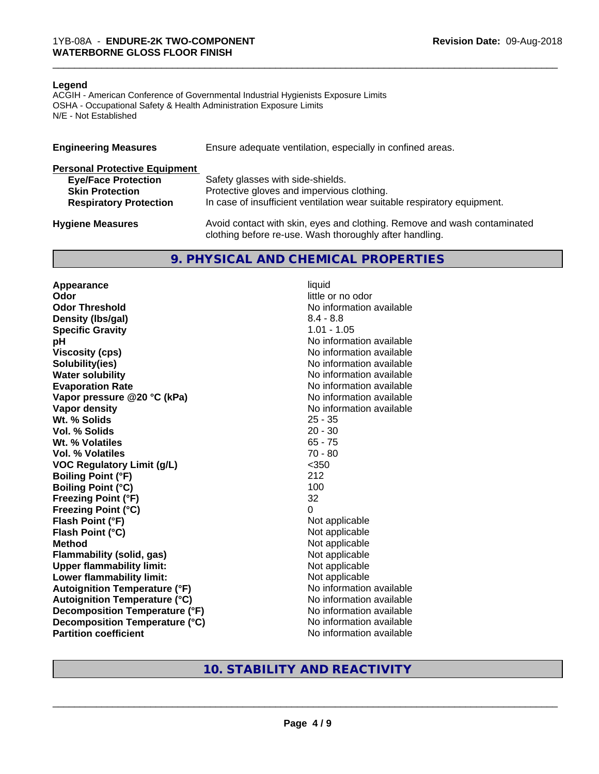#### **Legend**

ACGIH - American Conference of Governmental Industrial Hygienists Exposure Limits OSHA - Occupational Safety & Health Administration Exposure Limits N/E - Not Established

| <b>Engineering Measures</b>          | Ensure adequate ventilation, especially in confined areas.                                                                          |  |  |
|--------------------------------------|-------------------------------------------------------------------------------------------------------------------------------------|--|--|
| <b>Personal Protective Equipment</b> |                                                                                                                                     |  |  |
| <b>Eye/Face Protection</b>           | Safety glasses with side-shields.                                                                                                   |  |  |
| <b>Skin Protection</b>               | Protective gloves and impervious clothing.                                                                                          |  |  |
| <b>Respiratory Protection</b>        | In case of insufficient ventilation wear suitable respiratory equipment.                                                            |  |  |
| <b>Hygiene Measures</b>              | Avoid contact with skin, eyes and clothing. Remove and wash contaminated<br>clothing before re-use. Wash thoroughly after handling. |  |  |

# **9. PHYSICAL AND CHEMICAL PROPERTIES**

**Appearance** liquid **Odor** little or no odor **Odor Threshold No information available No information available Density (lbs/gal)** 8.4 - 8.8<br> **Specific Gravity** 6.1 - 8.8<br> **Specific Gravity** 6.1 - 1.05 **Specific Gravity pH pH**  $\blacksquare$ **Viscosity (cps)** No information available **Solubility(ies)** No information available **Water solubility** No information available **Evaporation Rate No information available No information available Vapor pressure @20 °C (kPa)** No information available **Vapor density**<br> **We Solids**<br>
We Solids
25 - 35 Wt. % Solids **Vol. % Solids** 20 - 30 **Wt. % Volatiles** 65 - 75 **Vol. % Volatiles** 70 - 80 **VOC Regulatory Limit (g/L)** <350 **Boiling Point (°F)** 212 **Boiling Point (°C)** 100 **Freezing Point (°F)** 32 **Freezing Point (°C)** 0 **Flash Point (°F)**<br> **Flash Point (°C)**<br> **Flash Point (°C)**<br> **Not** applicable<br>
Not applicable **Flash Point (°C)**<br>Method **Flammability (solid, gas)**<br> **Upper flammability limit:**<br>
Upper flammability limit: **Upper flammability limit:**<br> **Lower flammability limit:** Not applicable Not applicable **Lower flammability limit: Autoignition Temperature (°F)** No information available **Autoignition Temperature (°C)** No information available **Decomposition Temperature (°F)** No information available **Decomposition Temperature (°C)** No information available **Partition coefficient** No information available

**Not applicable**<br>Not applicable

\_\_\_\_\_\_\_\_\_\_\_\_\_\_\_\_\_\_\_\_\_\_\_\_\_\_\_\_\_\_\_\_\_\_\_\_\_\_\_\_\_\_\_\_\_\_\_\_\_\_\_\_\_\_\_\_\_\_\_\_\_\_\_\_\_\_\_\_\_\_\_\_\_\_\_\_\_\_\_\_\_\_\_\_\_\_\_\_\_\_\_\_\_

# **10. STABILITY AND REACTIVITY**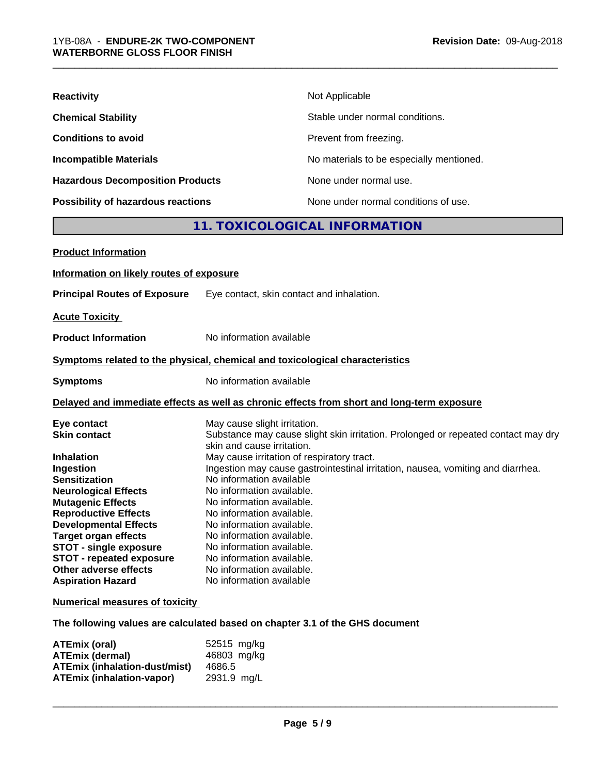| <b>Reactivity</b>                       | Not Applicable                           |  |  |
|-----------------------------------------|------------------------------------------|--|--|
| <b>Chemical Stability</b>               | Stable under normal conditions.          |  |  |
| <b>Conditions to avoid</b>              | Prevent from freezing.                   |  |  |
| <b>Incompatible Materials</b>           | No materials to be especially mentioned. |  |  |
| <b>Hazardous Decomposition Products</b> | None under normal use.                   |  |  |
| Possibility of hazardous reactions      | None under normal conditions of use.     |  |  |
| 11. TOXICOLOGICAL INFORMATION           |                                          |  |  |
| Books and the former of the second      |                                          |  |  |

\_\_\_\_\_\_\_\_\_\_\_\_\_\_\_\_\_\_\_\_\_\_\_\_\_\_\_\_\_\_\_\_\_\_\_\_\_\_\_\_\_\_\_\_\_\_\_\_\_\_\_\_\_\_\_\_\_\_\_\_\_\_\_\_\_\_\_\_\_\_\_\_\_\_\_\_\_\_\_\_\_\_\_\_\_\_\_\_\_\_\_\_\_

| <b>Product Information</b>                                                                                                                                                                                                                                                                                                                                                            |                                                                                                                                                                                                                                                                                                                                                                                                                                                                                                                                                                                  |
|---------------------------------------------------------------------------------------------------------------------------------------------------------------------------------------------------------------------------------------------------------------------------------------------------------------------------------------------------------------------------------------|----------------------------------------------------------------------------------------------------------------------------------------------------------------------------------------------------------------------------------------------------------------------------------------------------------------------------------------------------------------------------------------------------------------------------------------------------------------------------------------------------------------------------------------------------------------------------------|
| Information on likely routes of exposure                                                                                                                                                                                                                                                                                                                                              |                                                                                                                                                                                                                                                                                                                                                                                                                                                                                                                                                                                  |
| <b>Principal Routes of Exposure</b>                                                                                                                                                                                                                                                                                                                                                   | Eye contact, skin contact and inhalation.                                                                                                                                                                                                                                                                                                                                                                                                                                                                                                                                        |
| <b>Acute Toxicity</b>                                                                                                                                                                                                                                                                                                                                                                 |                                                                                                                                                                                                                                                                                                                                                                                                                                                                                                                                                                                  |
| <b>Product Information</b>                                                                                                                                                                                                                                                                                                                                                            | No information available                                                                                                                                                                                                                                                                                                                                                                                                                                                                                                                                                         |
|                                                                                                                                                                                                                                                                                                                                                                                       | Symptoms related to the physical, chemical and toxicological characteristics                                                                                                                                                                                                                                                                                                                                                                                                                                                                                                     |
| <b>Symptoms</b>                                                                                                                                                                                                                                                                                                                                                                       | No information available                                                                                                                                                                                                                                                                                                                                                                                                                                                                                                                                                         |
|                                                                                                                                                                                                                                                                                                                                                                                       | Delayed and immediate effects as well as chronic effects from short and long-term exposure                                                                                                                                                                                                                                                                                                                                                                                                                                                                                       |
| Eye contact<br><b>Skin contact</b><br><b>Inhalation</b><br>Ingestion<br><b>Sensitization</b><br><b>Neurological Effects</b><br><b>Mutagenic Effects</b><br><b>Reproductive Effects</b><br><b>Developmental Effects</b><br><b>Target organ effects</b><br><b>STOT - single exposure</b><br><b>STOT - repeated exposure</b><br><b>Other adverse effects</b><br><b>Aspiration Hazard</b> | May cause slight irritation.<br>Substance may cause slight skin irritation. Prolonged or repeated contact may dry<br>skin and cause irritation.<br>May cause irritation of respiratory tract.<br>Ingestion may cause gastrointestinal irritation, nausea, vomiting and diarrhea.<br>No information available<br>No information available.<br>No information available.<br>No information available.<br>No information available.<br>No information available.<br>No information available.<br>No information available.<br>No information available.<br>No information available |

# **Numerical measures of toxicity**

**The following values are calculated based on chapter 3.1 of the GHS document**

| ATEmix (oral)                        | 52515 mg/kg |
|--------------------------------------|-------------|
| <b>ATEmix (dermal)</b>               | 46803 mg/kg |
| <b>ATEmix (inhalation-dust/mist)</b> | 4686.5      |
| <b>ATEmix (inhalation-vapor)</b>     | 2931.9 mg/L |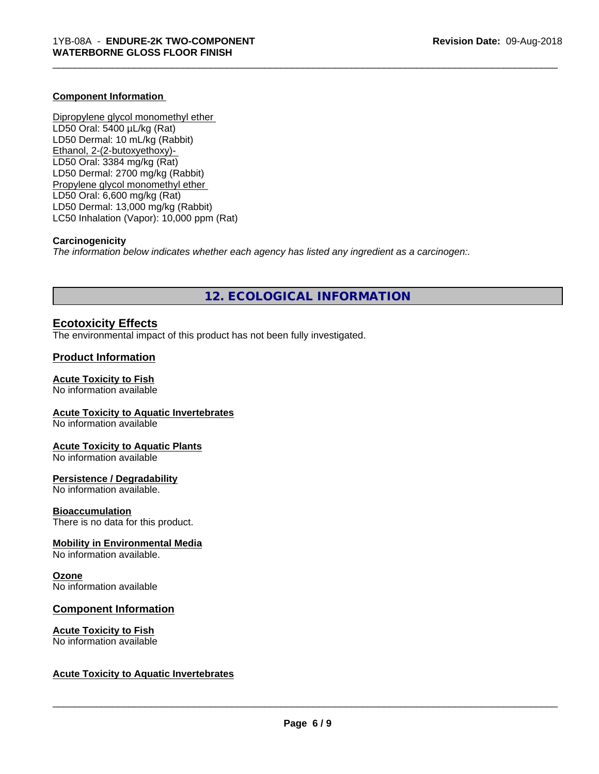#### **Component Information**

Dipropylene glycol monomethyl ether LD50 Oral: 5400 µL/kg (Rat) LD50 Dermal: 10 mL/kg (Rabbit) Ethanol, 2-(2-butoxyethoxy)- LD50 Oral: 3384 mg/kg (Rat) LD50 Dermal: 2700 mg/kg (Rabbit) Propylene glycol monomethyl ether LD50 Oral: 6,600 mg/kg (Rat) LD50 Dermal: 13,000 mg/kg (Rabbit) LC50 Inhalation (Vapor): 10,000 ppm (Rat)

#### **Carcinogenicity**

*The information below indicateswhether each agency has listed any ingredient as a carcinogen:.*

# **12. ECOLOGICAL INFORMATION**

\_\_\_\_\_\_\_\_\_\_\_\_\_\_\_\_\_\_\_\_\_\_\_\_\_\_\_\_\_\_\_\_\_\_\_\_\_\_\_\_\_\_\_\_\_\_\_\_\_\_\_\_\_\_\_\_\_\_\_\_\_\_\_\_\_\_\_\_\_\_\_\_\_\_\_\_\_\_\_\_\_\_\_\_\_\_\_\_\_\_\_\_\_

# **Ecotoxicity Effects**

The environmental impact of this product has not been fully investigated.

# **Product Information**

#### **Acute Toxicity to Fish**

No information available

#### **Acute Toxicity to Aquatic Invertebrates**

No information available

#### **Acute Toxicity to Aquatic Plants**

No information available

#### **Persistence / Degradability**

No information available.

#### **Bioaccumulation**

There is no data for this product.

# **Mobility in Environmental Media**

No information available.

#### **Ozone**

No information available

# **Component Information**

#### **Acute Toxicity to Fish** No information available

#### **Acute Toxicity to Aquatic Invertebrates**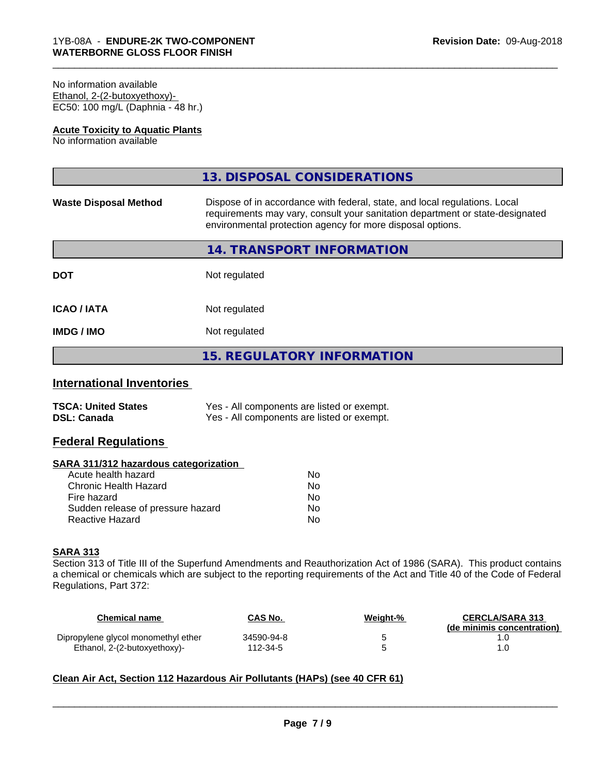#### No information available Ethanol, 2-(2-butoxyethoxy)- EC50: 100 mg/L (Daphnia - 48 hr.)

#### **Acute Toxicity to Aquatic Plants**

No information available

|                              | 13. DISPOSAL CONSIDERATIONS                                                                                                                                                                                               |
|------------------------------|---------------------------------------------------------------------------------------------------------------------------------------------------------------------------------------------------------------------------|
| <b>Waste Disposal Method</b> | Dispose of in accordance with federal, state, and local regulations. Local<br>requirements may vary, consult your sanitation department or state-designated<br>environmental protection agency for more disposal options. |
|                              | 14. TRANSPORT INFORMATION                                                                                                                                                                                                 |
| <b>DOT</b>                   | Not regulated                                                                                                                                                                                                             |
| <b>ICAO/IATA</b>             | Not regulated                                                                                                                                                                                                             |
| <b>IMDG/IMO</b>              | Not regulated                                                                                                                                                                                                             |
|                              | <b>15. REGULATORY INFORMATION</b>                                                                                                                                                                                         |

\_\_\_\_\_\_\_\_\_\_\_\_\_\_\_\_\_\_\_\_\_\_\_\_\_\_\_\_\_\_\_\_\_\_\_\_\_\_\_\_\_\_\_\_\_\_\_\_\_\_\_\_\_\_\_\_\_\_\_\_\_\_\_\_\_\_\_\_\_\_\_\_\_\_\_\_\_\_\_\_\_\_\_\_\_\_\_\_\_\_\_\_\_

# **International Inventories**

| <b>TSCA: United States</b> | Yes - All components are listed or exempt. |
|----------------------------|--------------------------------------------|
| <b>DSL: Canada</b>         | Yes - All components are listed or exempt. |

# **Federal Regulations**

#### **SARA 311/312 hazardous categorization**

| Acute health hazard               | N٥ |
|-----------------------------------|----|
| Chronic Health Hazard             | Nο |
| Fire hazard                       | Nο |
| Sudden release of pressure hazard | Nο |
| Reactive Hazard                   | N٥ |

# **SARA 313**

Section 313 of Title III of the Superfund Amendments and Reauthorization Act of 1986 (SARA). This product contains a chemical or chemicals which are subject to the reporting requirements of the Act and Title 40 of the Code of Federal Regulations, Part 372:

| Chemical name                       | <b>CAS No.</b> | Weight-% | <b>CERCLA/SARA 313</b><br>(de minimis concentration) |
|-------------------------------------|----------------|----------|------------------------------------------------------|
| Dipropylene glycol monomethyl ether | 34590-94-8     |          |                                                      |
| Ethanol, 2-(2-butoxyethoxy)-        | 112-34-5       |          |                                                      |

# **Clean Air Act,Section 112 Hazardous Air Pollutants (HAPs) (see 40 CFR 61)**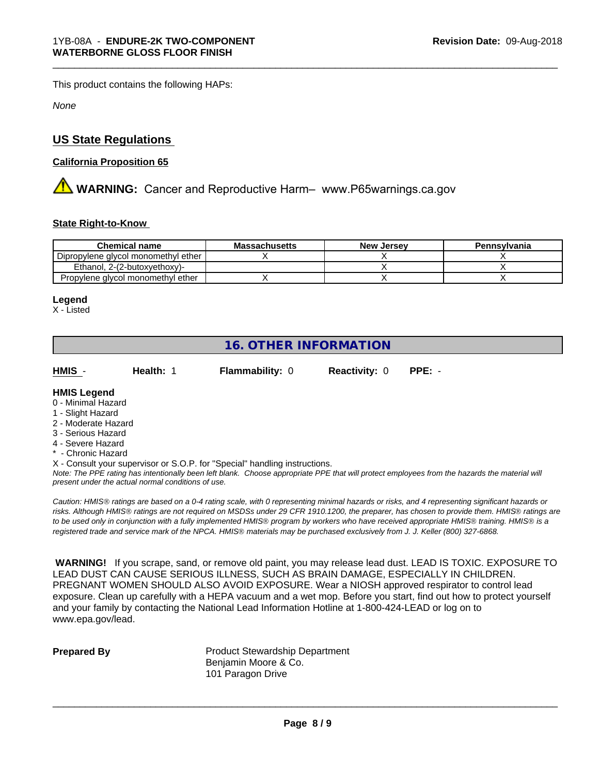This product contains the following HAPs:

*None*

# **US State Regulations**

# **California Proposition 65**

**AN** WARNING: Cancer and Reproductive Harm– www.P65warnings.ca.gov

#### **State Right-to-Know**

| <b>Chemical name</b>                | <b>Massachusetts</b> | <b>New Jersey</b> | Pennsylvania |
|-------------------------------------|----------------------|-------------------|--------------|
| Dipropylene glycol monomethyl ether |                      |                   |              |
| Ethanol. 2-(2-butoxvethoxy)-        |                      |                   |              |
| Propylene glycol monomethyl ether   |                      |                   |              |

#### **Legend**

X - Listed

# **16. OTHER INFORMATION**

**HMIS** - **Health:** 1 **Flammability:** 0 **Reactivity:** 0 **PPE:** -

\_\_\_\_\_\_\_\_\_\_\_\_\_\_\_\_\_\_\_\_\_\_\_\_\_\_\_\_\_\_\_\_\_\_\_\_\_\_\_\_\_\_\_\_\_\_\_\_\_\_\_\_\_\_\_\_\_\_\_\_\_\_\_\_\_\_\_\_\_\_\_\_\_\_\_\_\_\_\_\_\_\_\_\_\_\_\_\_\_\_\_\_\_

## **HMIS Legend**

- 0 Minimal Hazard
- 1 Slight Hazard
- 2 Moderate Hazard
- 3 Serious Hazard
- 4 Severe Hazard
- \* Chronic Hazard
- X Consult your supervisor or S.O.P. for "Special" handling instructions.

*Note: The PPE rating has intentionally been left blank. Choose appropriate PPE that will protect employees from the hazards the material will present under the actual normal conditions of use.*

*Caution: HMISÒ ratings are based on a 0-4 rating scale, with 0 representing minimal hazards or risks, and 4 representing significant hazards or risks. Although HMISÒ ratings are not required on MSDSs under 29 CFR 1910.1200, the preparer, has chosen to provide them. HMISÒ ratings are to be used only in conjunction with a fully implemented HMISÒ program by workers who have received appropriate HMISÒ training. HMISÒ is a registered trade and service mark of the NPCA. HMISÒ materials may be purchased exclusively from J. J. Keller (800) 327-6868.*

 **WARNING!** If you scrape, sand, or remove old paint, you may release lead dust. LEAD IS TOXIC. EXPOSURE TO LEAD DUST CAN CAUSE SERIOUS ILLNESS, SUCH AS BRAIN DAMAGE, ESPECIALLY IN CHILDREN. PREGNANT WOMEN SHOULD ALSO AVOID EXPOSURE.Wear a NIOSH approved respirator to control lead exposure. Clean up carefully with a HEPA vacuum and a wet mop. Before you start, find out how to protect yourself and your family by contacting the National Lead Information Hotline at 1-800-424-LEAD or log on to www.epa.gov/lead.

**Prepared By** Product Stewardship Department Benjamin Moore & Co. 101 Paragon Drive